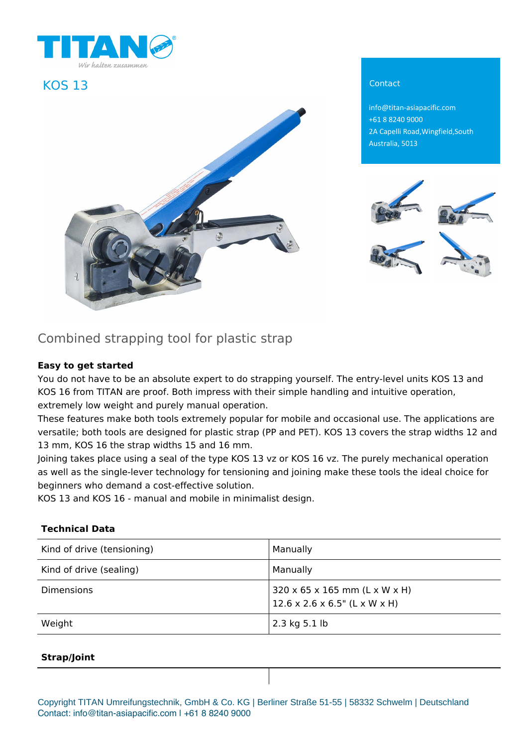

## **KOS 13** Contact



info@titan-asiapacific.com +61 8 8240 9000 2A Capelli Road,Wingfield,South Australia, 5013



# Combined strapping tool for plastic strap

### **Easy to get started**

You do not have to be an absolute expert to do strapping yourself. The entry-level units KOS 13 and KOS 16 from TITAN are proof. Both impress with their simple handling and intuitive operation, extremely low weight and purely manual operation.

These features make both tools extremely popular for mobile and occasional use. The applications are versatile; both tools are designed for plastic strap (PP and PET). KOS 13 covers the strap widths 12 and 13 mm, KOS 16 the strap widths 15 and 16 mm.

Joining takes place using a seal of the type KOS 13 vz or KOS 16 vz. The purely mechanical operation as well as the single-lever technology for tensioning and joining make these tools the ideal choice for beginners who demand a cost-effective solution.

KOS 13 and KOS 16 - manual and mobile in minimalist design.

#### **Technical Data**

| Kind of drive (tensioning) | <b>Manually</b>                                                             |
|----------------------------|-----------------------------------------------------------------------------|
| Kind of drive (sealing)    | Manually                                                                    |
| <b>Dimensions</b>          | 320 x 65 x 165 mm (L x W x H)<br>$12.6 \times 2.6 \times 6.5$ " (L x W x H) |
| Weight                     | 2.3 kg 5.1 lb                                                               |

#### **Strap/Joint**